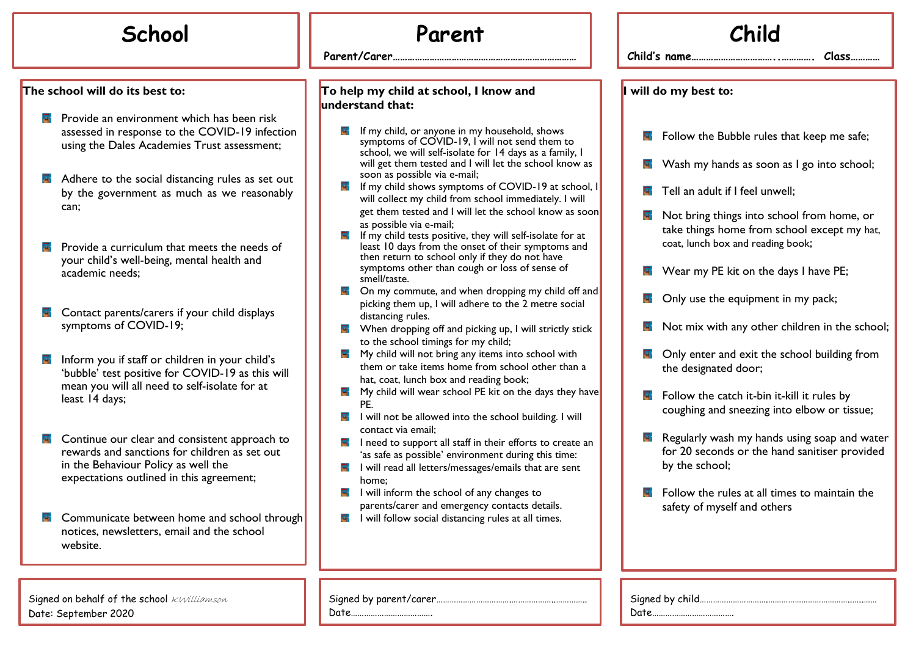## **The school will do its best to:**

- **R** Provide an environment which has been risk assessed in response to the COVID-19 infection using the Dales Academies Trust assessment;
- $\blacksquare$  Adhere to the social distancing rules as set out by the government as much as we reasonably can;
- $\blacksquare$  Provide a curriculum that meets the needs of your child's well-being, mental health and academic needs;
- Contact parents/carers if your child displays 国 symptoms of COVID-19;
- Inform you if staff or children in your child's 'bubble' test positive for COVID-19 as this will mean you will all need to self-isolate for at least 14 days;
- Continue our clear and consistent approach to 닼 rewards and sanctions for children as set out in the Behaviour Policy as well the expectations outlined in this agreement;
- 닼 Communicate between home and school through notices, newsletters, email and the school website.

Signed on behalf of the school KWilliamson Date: September 2020

## **School Parent**

**…**

**Parent/Carer…………………………………………………………………**

## **To help my child at school, I know and understand that:**

- **F** If my child, or anyone in my household, shows symptoms of COVID-19, I will not send them to school, we will self-isolate for 14 days as a family, I will get them tested and I will let the school know as soon as possible via e-mail;
- $\blacksquare$  If my child shows symptoms of COVID-19 at school, will collect my child from school immediately. I will get them tested and I will let the school know as soon as possible via e-mail;
- $\blacksquare$  If my child tests positive, they will self-isolate for at least 10 days from the onset of their symptoms and then return to school only if they do not have symptoms other than cough or loss of sense of smell/taste.
- $\blacksquare$  On my commute, and when dropping my child off and picking them up, I will adhere to the 2 metre social distancing rules.
- $\mathbb{F}$  When dropping off and picking up, I will strictly stick to the school timings for my child;
- $\blacksquare$  My child will not bring any items into school with them or take items home from school other than a hat, coat, lunch box and reading book;
- $\blacksquare$  My child will wear school PE kit on the days they have PE.
- $\blacksquare$  I will not be allowed into the school building. I will contact via email;
- $\blacksquare$  I need to support all staff in their efforts to create an 'as safe as possible' environment during this time:
- $\blacksquare$  I will read all letters/messages/emails that are sent home;
- $\blacksquare$  I will inform the school of any changes to parents/carer and emergency contacts details.
- I will follow social distancing rules at all times.

|   |    | Child                                                                                                                          |
|---|----|--------------------------------------------------------------------------------------------------------------------------------|
|   |    |                                                                                                                                |
|   |    | I will do my best to:                                                                                                          |
|   | a. | Follow the Bubble rules that keep me safe;                                                                                     |
|   |    | Wash my hands as soon as I go into school;                                                                                     |
| ı | ы. | Tell an adult if I feel unwell;                                                                                                |
| n | a. | Not bring things into school from home, or<br>take things home from school except my hat,<br>coat, lunch box and reading book; |
|   |    | Wear my PE kit on the days I have PE;                                                                                          |
| d |    | Only use the equipment in my pack;                                                                                             |
|   |    | Not mix with any other children in the school;                                                                                 |
|   | a. | Only enter and exit the school building from<br>the designated door;                                                           |
| e | a. | Follow the catch it-bin it-kill it rules by<br>coughing and sneezing into elbow or tissue;                                     |
|   | ۰. | Regularly wash my hands using soap and water<br>for 20 seconds or the hand sanitiser provided<br>by the school;                |
|   |    | Follow the rules at all times to maintain the<br>safety of myself and others                                                   |
|   |    |                                                                                                                                |

Signed by parent/carer…………………………….………………..………….. Date……………………………….